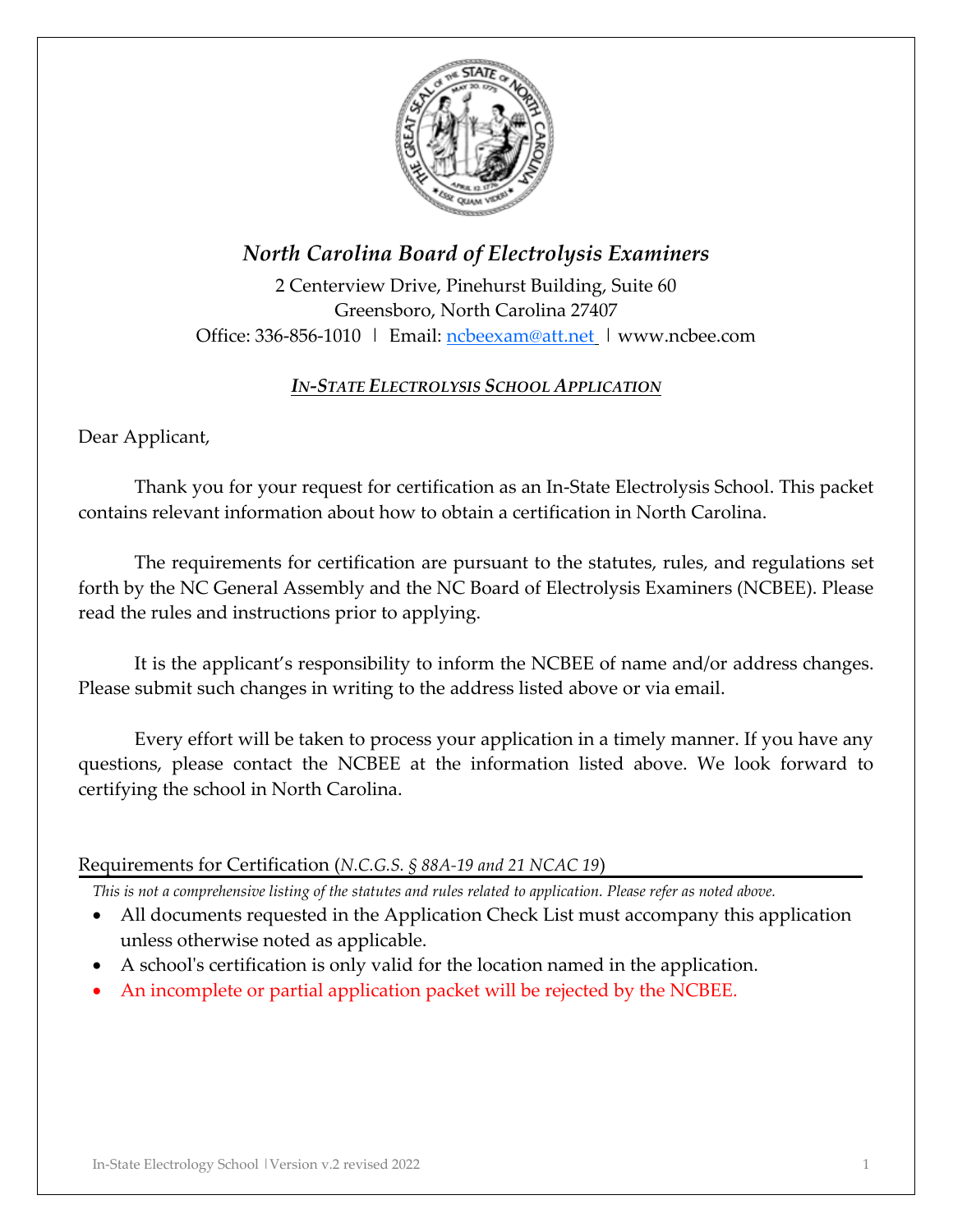

# *North Carolina Board of Electrolysis Examiners*

2 Centerview Drive, Pinehurst Building, Suite 60 Greensboro, North Carolina 27407 Office: 336-856-1010 | Email: [ncbeexam@att.net](mailto:ncbeexam@att.net) | www.ncbee.com

### *IN-STATE ELECTROLYSIS SCHOOL APPLICATION*

Dear Applicant,

Thank you for your request for certification as an In-State Electrolysis School. This packet contains relevant information about how to obtain a certification in North Carolina.

The requirements for certification are pursuant to the statutes, rules, and regulations set forth by the NC General Assembly and the NC Board of Electrolysis Examiners (NCBEE). Please read the rules and instructions prior to applying.

It is the applicant's responsibility to inform the NCBEE of name and/or address changes. Please submit such changes in writing to the address listed above or via email.

Every effort will be taken to process your application in a timely manner. If you have any questions, please contact the NCBEE at the information listed above. We look forward to certifying the school in North Carolina.

### Requirements for Certification (*N.C.G.S. § 88A-19 and 21 NCAC 19*)

*This is not a comprehensive listing of the statutes and rules related to application. Please refer as noted above.* 

- All documents requested in the Application Check List must accompany this application unless otherwise noted as applicable.
- A school's certification is only valid for the location named in the application.
- An incomplete or partial application packet will be rejected by the NCBEE.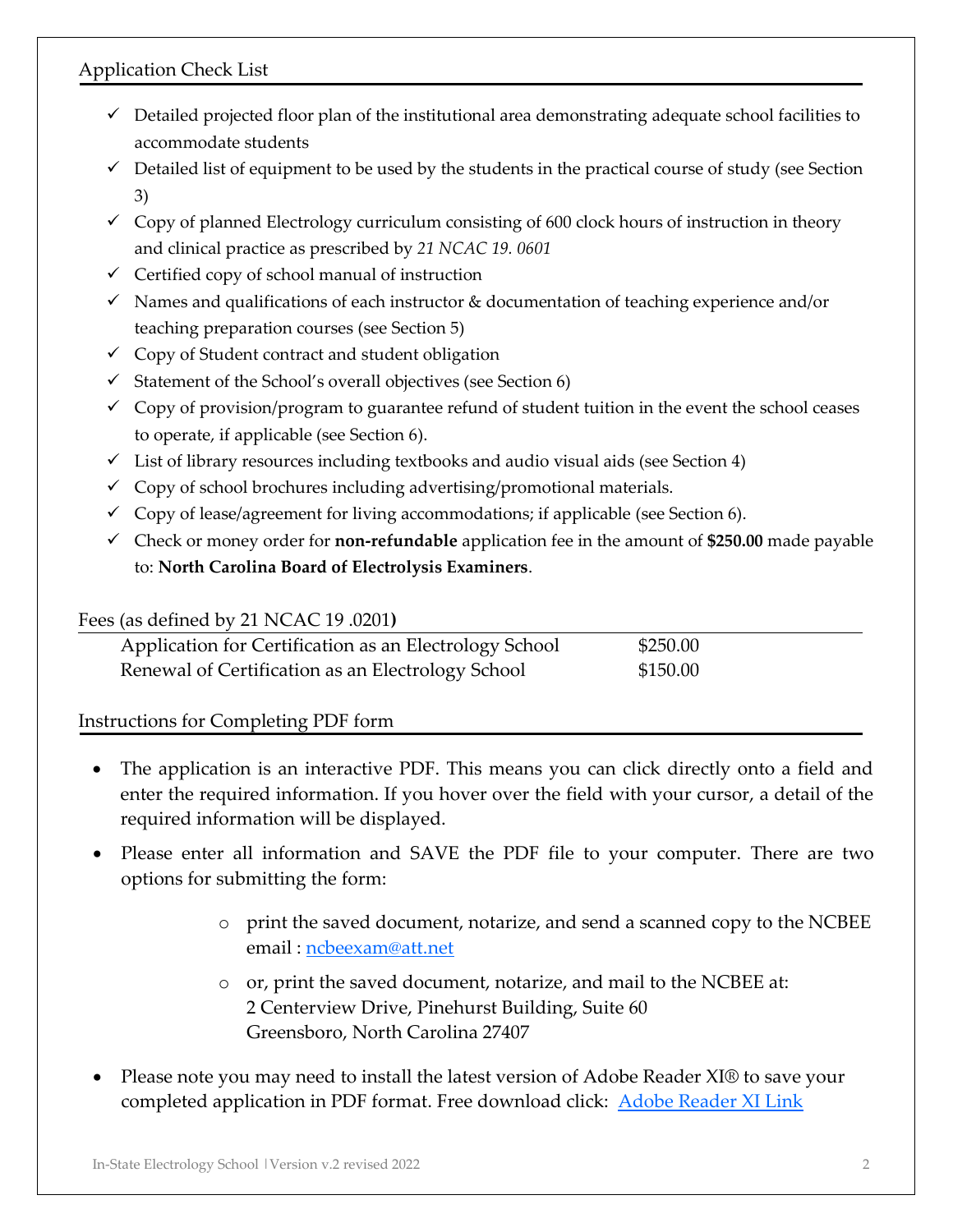# Application Check List

- $\checkmark$  Detailed projected floor plan of the institutional area demonstrating adequate school facilities to accommodate students
- $\checkmark$  Detailed list of equipment to be used by the students in the practical course of study (see Section 3)
- $\checkmark$  Copy of planned Electrology curriculum consisting of 600 clock hours of instruction in theory and clinical practice as prescribed by *21 NCAC 19. 0601*
- $\checkmark$  Certified copy of school manual of instruction
- $\checkmark$  Names and qualifications of each instructor & documentation of teaching experience and/or teaching preparation courses (see Section 5)
- ✓ Copy of Student contract and student obligation
- $\checkmark$  Statement of the School's overall objectives (see Section 6)
- $\checkmark$  Copy of provision/program to guarantee refund of student tuition in the event the school ceases to operate, if applicable (see Section 6).
- $\checkmark$  List of library resources including textbooks and audio visual aids (see Section 4)
- $\checkmark$  Copy of school brochures including advertising/promotional materials.
- $\checkmark$  Copy of lease/agreement for living accommodations; if applicable (see Section 6).
- ✓ Check or money order for **non-refundable** application fee in the amount of **\$250.00** made payable to: **North Carolina Board of Electrolysis Examiners**.

#### Fees (as defined by 21 NCAC 19 .0201**)**

| Application for Certification as an Electrology School | \$250.00 |
|--------------------------------------------------------|----------|
| Renewal of Certification as an Electrology School      | \$150.00 |

### Instructions for Completing PDF form

- The application is an interactive PDF. This means you can click directly onto a field and enter the required information. If you hover over the field with your cursor, a detail of the required information will be displayed.
- Please enter all information and SAVE the PDF file to your computer. There are two options for submitting the form:
	- o print the saved document, notarize, and send a scanned copy to the NCBEE email : [ncbeexam@att.net](mailto:ncbeexam@att.net)
	- o or, print the saved document, notarize, and mail to the NCBEE at: 2 Centerview Drive, Pinehurst Building, Suite 60 Greensboro, North Carolina 27407
- Please note you may need to install the latest version of Adobe Reader XI® to save your completed application in PDF format. Free download click: **[Adobe Reader XI Link](http://www.adobe.com/products/reader.html)**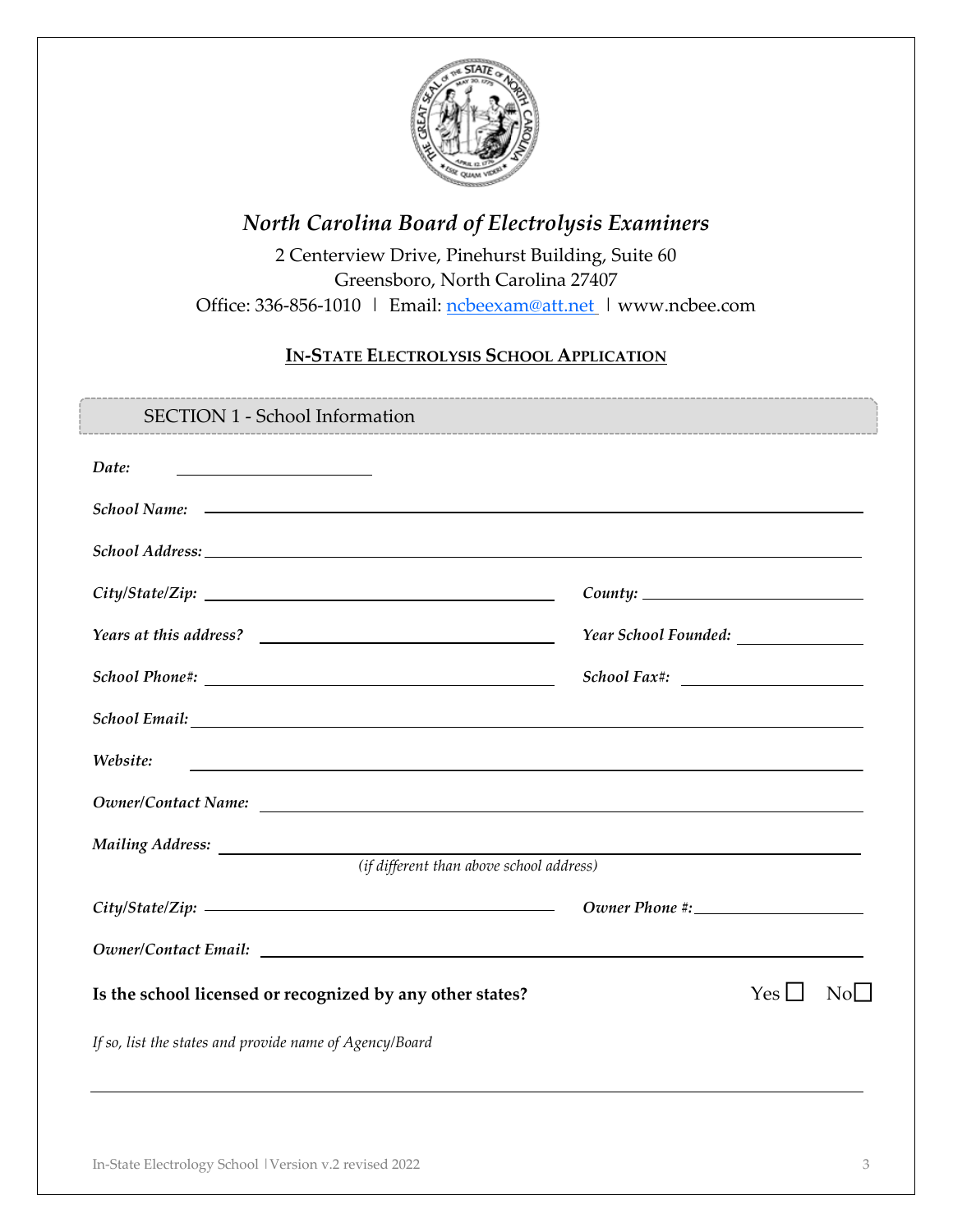

# *North Carolina Board of Electrolysis Examiners*

2 Centerview Drive, Pinehurst Building, Suite 60 Greensboro, North Carolina 27407 Office: 336-856-1010 | Email: [ncbeexam@att.net](mailto:ncbeexam@att.net) | www.ncbee.com

# **IN-STATE ELECTROLYSIS SCHOOL APPLICATION**

| <b>SECTION 1 - School Information</b>                                               |                                       |            |                  |
|-------------------------------------------------------------------------------------|---------------------------------------|------------|------------------|
| Date:<br>the control of the control of the control of the control of the control of |                                       |            |                  |
|                                                                                     |                                       |            |                  |
|                                                                                     |                                       |            |                  |
| City/State/Zip:                                                                     |                                       |            |                  |
|                                                                                     | Year School Founded: ________________ |            |                  |
|                                                                                     |                                       |            |                  |
|                                                                                     |                                       |            |                  |
| Website:                                                                            |                                       |            |                  |
|                                                                                     |                                       |            |                  |
|                                                                                     |                                       |            |                  |
| (if different than above school address)                                            |                                       |            |                  |
|                                                                                     |                                       |            |                  |
|                                                                                     |                                       |            |                  |
| Is the school licensed or recognized by any other states?                           |                                       | $Yes \Box$ | NoL <sub>1</sub> |
| If so, list the states and provide name of Agency/Board                             |                                       |            |                  |
|                                                                                     |                                       |            |                  |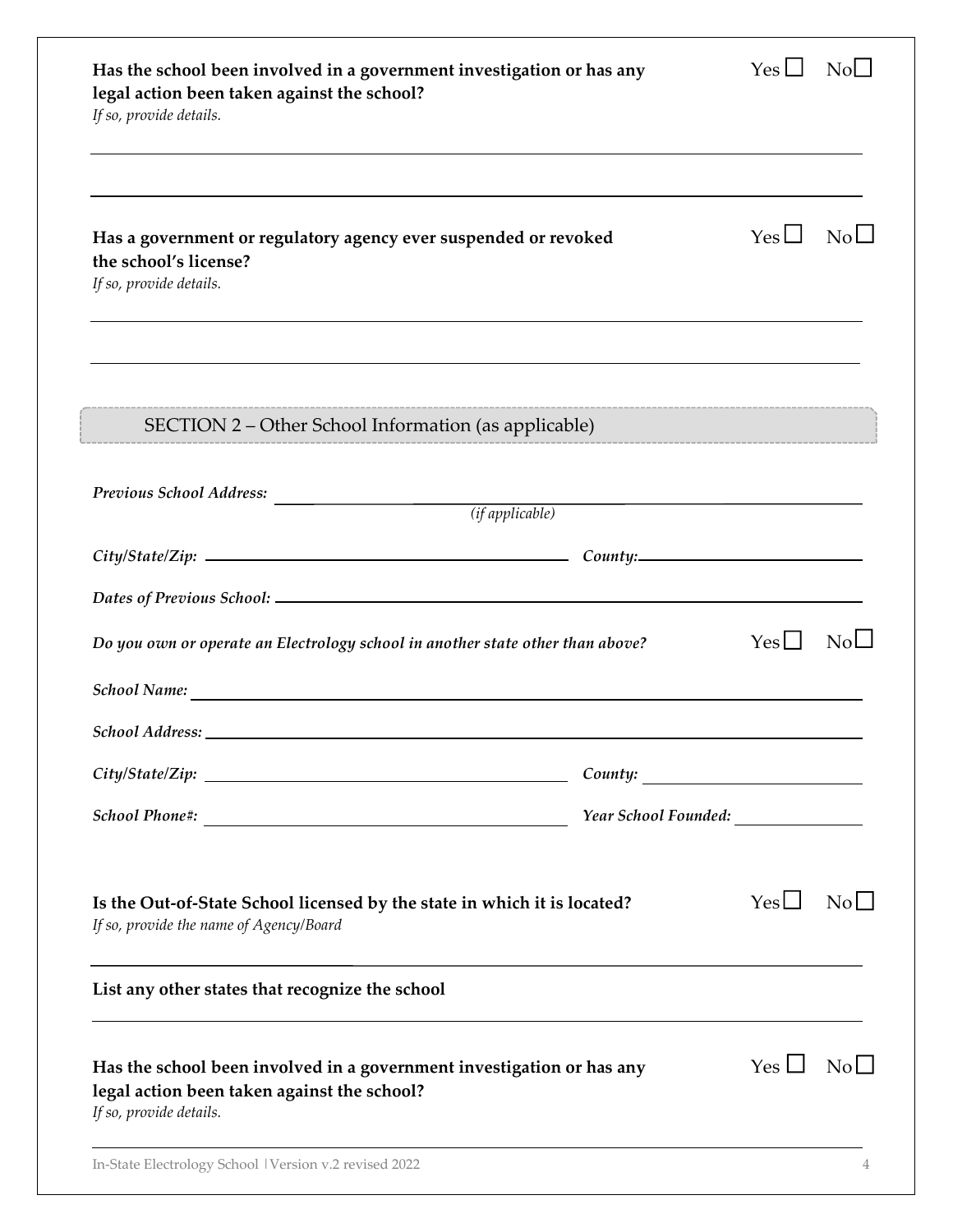| Has the school been involved in a government investigation or has any<br>legal action been taken against the school?<br>If so, provide details. |          | Yes $\Box$         | NoL <sup>1</sup>       |
|-------------------------------------------------------------------------------------------------------------------------------------------------|----------|--------------------|------------------------|
| Has a government or regulatory agency ever suspended or revoked<br>the school's license?<br>If so, provide details.                             |          | $Yes \Box$         | $\overline{\text{No}}$ |
| SECTION 2 – Other School Information (as applicable)                                                                                            |          |                    |                        |
| Previous School Address:<br>$\overline{(if applicable)}$                                                                                        |          |                    |                        |
|                                                                                                                                                 |          |                    |                        |
|                                                                                                                                                 |          |                    |                        |
| Do you own or operate an Electrology school in another state other than above?                                                                  |          | Yes                | NoL                    |
|                                                                                                                                                 |          |                    |                        |
|                                                                                                                                                 |          |                    |                        |
| City/State/Zip:                                                                                                                                 | Country: |                    |                        |
|                                                                                                                                                 |          |                    |                        |
| Is the Out-of-State School licensed by the state in which it is located?<br>If so, provide the name of Agency/Board                             |          | $Yes \Box$         | $\rm{No}$              |
| List any other states that recognize the school                                                                                                 |          |                    |                        |
| Has the school been involved in a government investigation or has any<br>legal action been taken against the school?<br>If so, provide details. |          | $Yes \Box No \Box$ |                        |
| In-State Electrology School   Version v.2 revised 2022                                                                                          |          |                    |                        |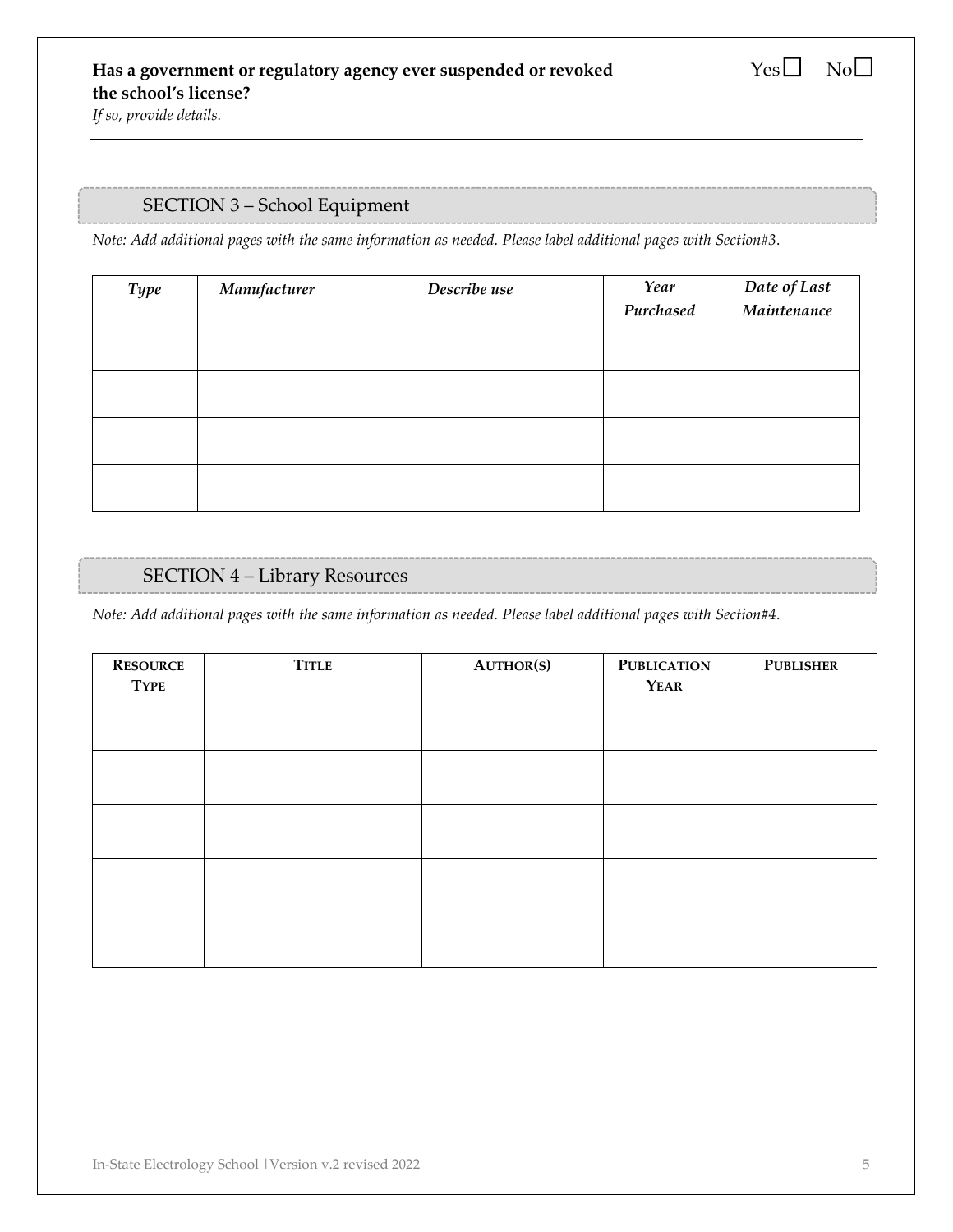*If so, provide details.* 

### SECTION 3 – School Equipment

*Note: Add additional pages with the same information as needed. Please label additional pages with Section#3.* 

| <b>Type</b> | Manufacturer | Describe use | Year      | Date of Last<br>Maintenance |
|-------------|--------------|--------------|-----------|-----------------------------|
|             |              |              | Purchased |                             |
|             |              |              |           |                             |
|             |              |              |           |                             |
|             |              |              |           |                             |
|             |              |              |           |                             |
|             |              |              |           |                             |
|             |              |              |           |                             |
|             |              |              |           |                             |
|             |              |              |           |                             |

#### SECTION 4 – Library Resources

*Note: Add additional pages with the same information as needed. Please label additional pages with Section#4.* 

| <b>RESOURCE</b><br><b>TYPE</b> | <b>TITLE</b> | <b>AUTHOR(S)</b> | <b>PUBLICATION</b><br><b>YEAR</b> | <b>PUBLISHER</b> |
|--------------------------------|--------------|------------------|-----------------------------------|------------------|
|                                |              |                  |                                   |                  |
|                                |              |                  |                                   |                  |
|                                |              |                  |                                   |                  |
|                                |              |                  |                                   |                  |
|                                |              |                  |                                   |                  |
|                                |              |                  |                                   |                  |
|                                |              |                  |                                   |                  |
|                                |              |                  |                                   |                  |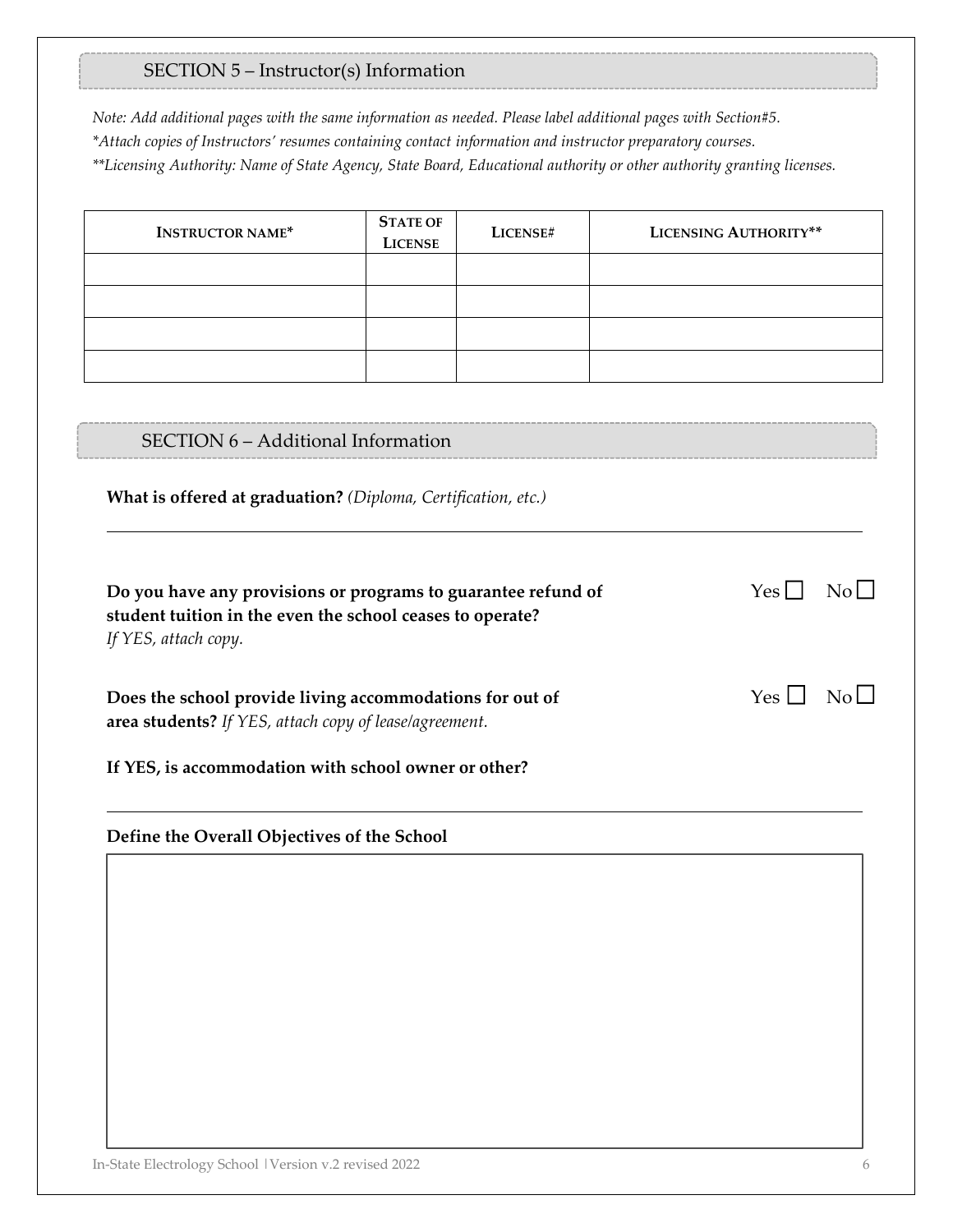# SECTION 5 – Instructor(s) Information

*Note: Add additional pages with the same information as needed. Please label additional pages with Section#5. \*Attach copies of Instructors' resumes containing contact information and instructor preparatory courses. \*\*Licensing Authority: Name of State Agency, State Board, Educational authority or other authority granting licenses.*

| <b>INSTRUCTOR NAME*</b>                                                                                                                            | <b>STATE OF</b><br><b>LICENSE</b> | LICENSE# | LICENSING AUTHORITY** |
|----------------------------------------------------------------------------------------------------------------------------------------------------|-----------------------------------|----------|-----------------------|
|                                                                                                                                                    |                                   |          |                       |
|                                                                                                                                                    |                                   |          |                       |
|                                                                                                                                                    |                                   |          |                       |
|                                                                                                                                                    |                                   |          |                       |
|                                                                                                                                                    |                                   |          |                       |
| SECTION 6 - Additional Information                                                                                                                 |                                   |          |                       |
| What is offered at graduation? (Diploma, Certification, etc.)                                                                                      |                                   |          |                       |
| Do you have any provisions or programs to guarantee refund of<br>student tuition in the even the school ceases to operate?<br>If YES, attach copy. |                                   |          | $Yes \mid \mid$<br>No |
| Does the school provide living accommodations for out of<br>area students? If YES, attach copy of lease/agreement.                                 |                                   |          | $Yes \Box No \Box$    |
| If YES, is accommodation with school owner or other?                                                                                               |                                   |          |                       |
| Define the Overall Objectives of the School                                                                                                        |                                   |          |                       |
|                                                                                                                                                    |                                   |          |                       |
|                                                                                                                                                    |                                   |          |                       |
|                                                                                                                                                    |                                   |          |                       |
|                                                                                                                                                    |                                   |          |                       |
|                                                                                                                                                    |                                   |          |                       |
|                                                                                                                                                    |                                   |          |                       |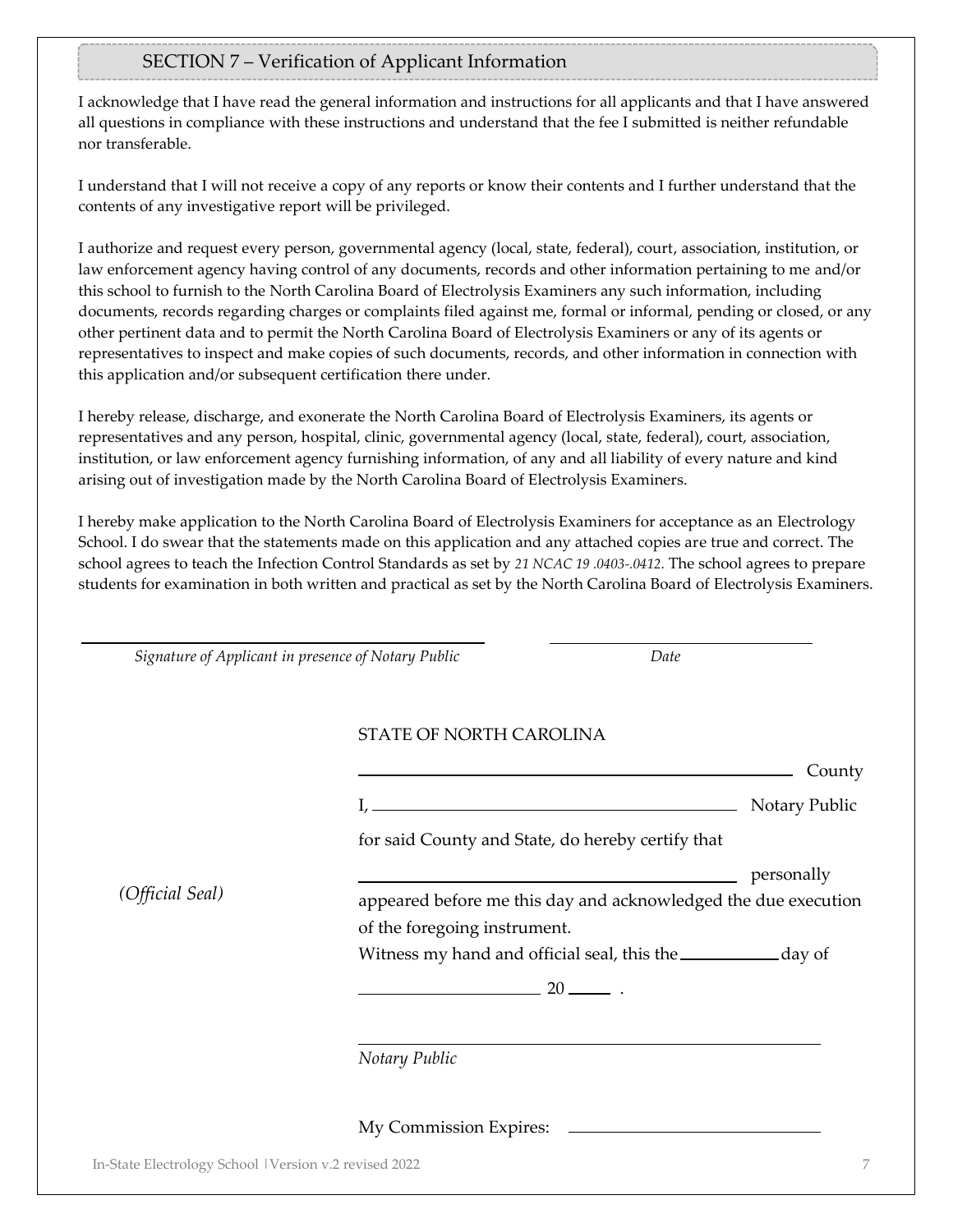# SECTION 7 – Verification of Applicant Information

I acknowledge that I have read the general information and instructions for all applicants and that I have answered all questions in compliance with these instructions and understand that the fee I submitted is neither refundable nor transferable.

I understand that I will not receive a copy of any reports or know their contents and I further understand that the contents of any investigative report will be privileged.

I authorize and request every person, governmental agency (local, state, federal), court, association, institution, or law enforcement agency having control of any documents, records and other information pertaining to me and/or this school to furnish to the North Carolina Board of Electrolysis Examiners any such information, including documents, records regarding charges or complaints filed against me, formal or informal, pending or closed, or any other pertinent data and to permit the North Carolina Board of Electrolysis Examiners or any of its agents or representatives to inspect and make copies of such documents, records, and other information in connection with this application and/or subsequent certification there under.

I hereby release, discharge, and exonerate the North Carolina Board of Electrolysis Examiners, its agents or representatives and any person, hospital, clinic, governmental agency (local, state, federal), court, association, institution, or law enforcement agency furnishing information, of any and all liability of every nature and kind arising out of investigation made by the North Carolina Board of Electrolysis Examiners.

I hereby make application to the North Carolina Board of Electrolysis Examiners for acceptance as an Electrology School. I do swear that the statements made on this application and any attached copies are true and correct. The school agrees to teach the Infection Control Standards as set by *21 NCAC 19 .0403-.0412*. The school agrees to prepare students for examination in both written and practical as set by the North Carolina Board of Electrolysis Examiners.

| Signature of Applicant in presence of Notary Public    |                                                   | Date                                                                |
|--------------------------------------------------------|---------------------------------------------------|---------------------------------------------------------------------|
|                                                        | STATE OF NORTH CAROLINA                           |                                                                     |
|                                                        |                                                   | County                                                              |
|                                                        | $I, \underline{\hspace{2cm}}$                     | Notary Public                                                       |
|                                                        | for said County and State, do hereby certify that |                                                                     |
| (Official Seal)                                        |                                                   | personally                                                          |
|                                                        |                                                   | appeared before me this day and acknowledged the due execution      |
|                                                        | of the foregoing instrument.                      |                                                                     |
|                                                        |                                                   | Witness my hand and official seal, this the ________________ day of |
|                                                        | $20$ $-$                                          |                                                                     |
|                                                        | Notary Public                                     |                                                                     |
|                                                        | My Commission Expires:                            |                                                                     |
| In-State Electrology School   Version v.2 revised 2022 |                                                   |                                                                     |